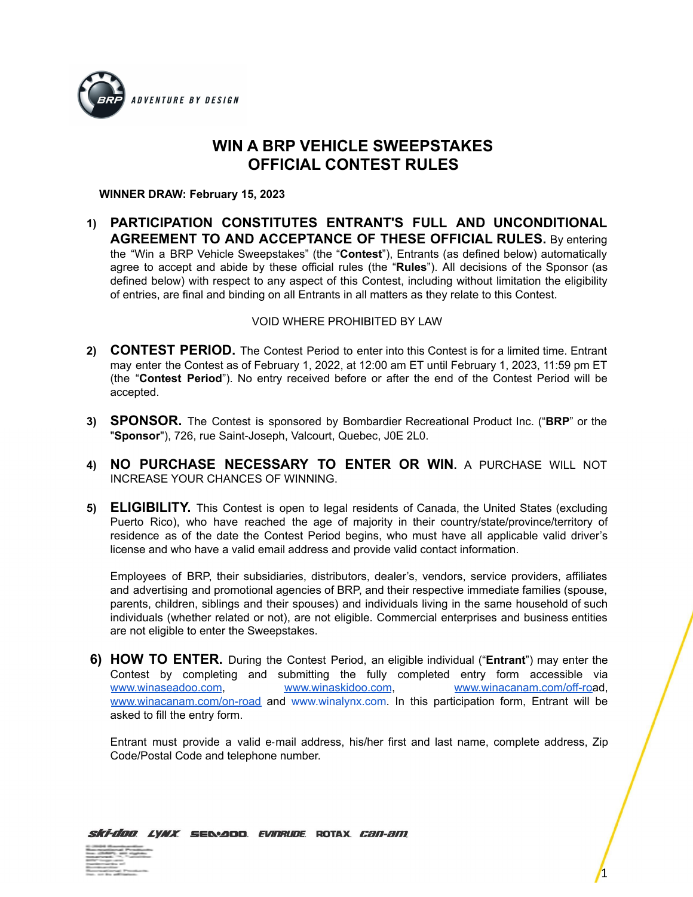

## **WIN A BRP VEHICLE SWEEPSTAKES OFFICIAL CONTEST RULES**

**WINNER DRAW: February 15, 2023**

**1) PARTICIPATION CONSTITUTES ENTRANT'S FULL AND UNCONDITIONAL AGREEMENT TO AND ACCEPTANCE OF THESE OFFICIAL RULES.** By entering the "Win a BRP Vehicle Sweepstakes" (the "**Contest**"), Entrants (as defined below) automatically agree to accept and abide by these official rules (the "**Rules**"). All decisions of the Sponsor (as defined below) with respect to any aspect of this Contest, including without limitation the eligibility of entries, are final and binding on all Entrants in all matters as they relate to this Contest.

## VOID WHERE PROHIBITED BY LAW

- **2) CONTEST PERIOD.** The Contest Period to enter into this Contest is for a limited time. Entrant may enter the Contest as of February 1, 2022, at 12:00 am ET until February 1, 2023, 11:59 pm ET (the "**Contest Period**"). No entry received before or after the end of the Contest Period will be accepted.
- **3) SPONSOR.** The Contest is sponsored by Bombardier Recreational Product Inc. ("**BRP**" or the "**Sponsor**"), 726, rue Saint-Joseph, Valcourt, Quebec, J0E 2L0.
- **4) NO PURCHASE NECESSARY TO ENTER OR WIN.** A PURCHASE WILL NOT INCREASE YOUR CHANCES OF WINNING.
- **5) ELIGIBILITY.** This Contest is open to legal residents of Canada, the United States (excluding Puerto Rico), who have reached the age of majority in their country/state/province/territory of residence as of the date the Contest Period begins, who must have all applicable valid driver's license and who have a valid email address and provide valid contact information.

Employees of BRP, their subsidiaries, distributors, dealer's, vendors, service providers, affiliates and advertising and promotional agencies of BRP, and their respective immediate families (spouse, parents, children, siblings and their spouses) and individuals living in the same household of such individuals (whether related or not), are not eligible. Commercial enterprises and business entities are not eligible to enter the Sweepstakes.

**6) HOW TO ENTER.** During the Contest Period, an eligible individual ("**Entrant**") may enter the Contest by completing and submitting the fully completed entry form accessible via [www.winaseadoo.com](http://www.winaseadoo.com), [www.winaskidoo.com](http://www.winaskidoo.com), [www.winacanam.com/off-roa](http://www.winacanam.com/off-road)d, [www.winacanam.com/on-road](http://www.winacanam.com/on-road) and [www.winalynx.com](http://www.winalynx.com/). In this participation form, Entrant will be asked to fill the entry form.

Entrant must provide a valid e‐mail address, his/her first and last name, complete address, Zip Code/Postal Code and telephone number.

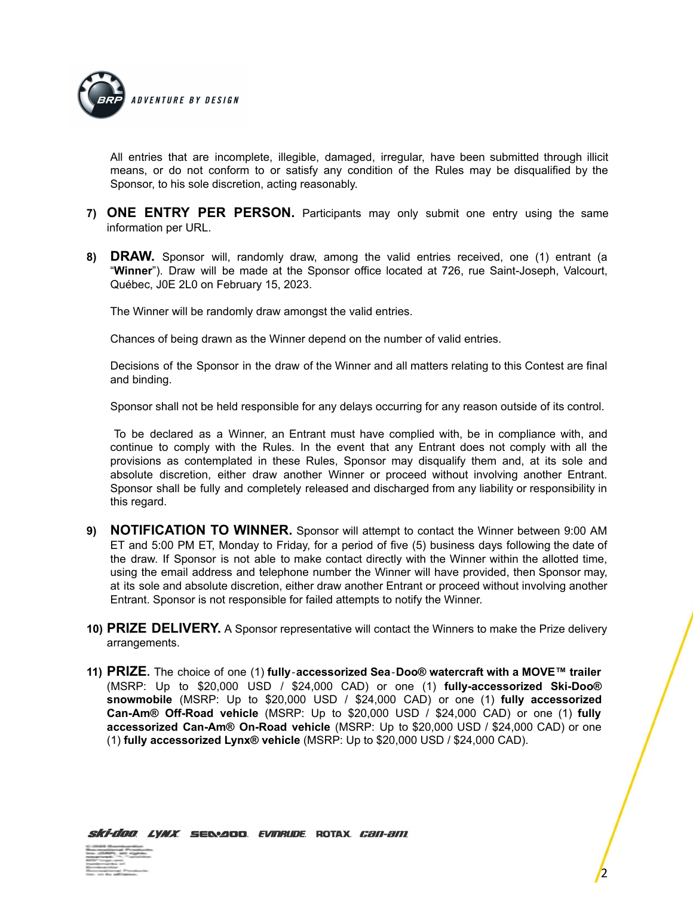

All entries that are incomplete, illegible, damaged, irregular, have been submitted through illicit means, or do not conform to or satisfy any condition of the Rules may be disqualified by the Sponsor, to his sole discretion, acting reasonably.

- **7) ONE ENTRY PER PERSON.** Participants may only submit one entry using the same information per URL.
- **8) DRAW.** Sponsor will, randomly draw, among the valid entries received, one (1) entrant (a "**Winner**"). Draw will be made at the Sponsor office located at 726, rue Saint-Joseph, Valcourt, Québec, J0E 2L0 on February 15, 2023.

The Winner will be randomly draw amongst the valid entries.

Chances of being drawn as the Winner depend on the number of valid entries.

Decisions of the Sponsor in the draw of the Winner and all matters relating to this Contest are final and binding.

Sponsor shall not be held responsible for any delays occurring for any reason outside of its control.

To be declared as a Winner, an Entrant must have complied with, be in compliance with, and continue to comply with the Rules. In the event that any Entrant does not comply with all the provisions as contemplated in these Rules, Sponsor may disqualify them and, at its sole and absolute discretion, either draw another Winner or proceed without involving another Entrant. Sponsor shall be fully and completely released and discharged from any liability or responsibility in this regard.

- **9) NOTIFICATION TO WINNER.** Sponsor will attempt to contact the Winner between 9:00 AM ET and 5:00 PM ET, Monday to Friday, for a period of five (5) business days following the date of the draw. If Sponsor is not able to make contact directly with the Winner within the allotted time, using the email address and telephone number the Winner will have provided, then Sponsor may, at its sole and absolute discretion, either draw another Entrant or proceed without involving another Entrant. Sponsor is not responsible for failed attempts to notify the Winner.
- **10) PRIZE DELIVERY.** A Sponsor representative will contact the Winners to make the Prize delivery arrangements.
- **11) PRIZE.** The choice of one (1) **fully**‐**accessorized Sea**‐**Doo® watercraft with a MOVE™ trailer** (MSRP: Up to \$20,000 USD / \$24,000 CAD) or one (1) **fully-accessorized Ski-Doo® snowmobile** (MSRP: Up to \$20,000 USD / \$24,000 CAD) or one (1) **fully accessorized Can-Am® Off-Road vehicle** (MSRP: Up to \$20,000 USD / \$24,000 CAD) or one (1) **fully accessorized Can-Am® On-Road vehicle** (MSRP: Up to \$20,000 USD / \$24,000 CAD) or one (1) **fully accessorized Lynx® vehicle** (MSRP: Up to \$20,000 USD / \$24,000 CAD).

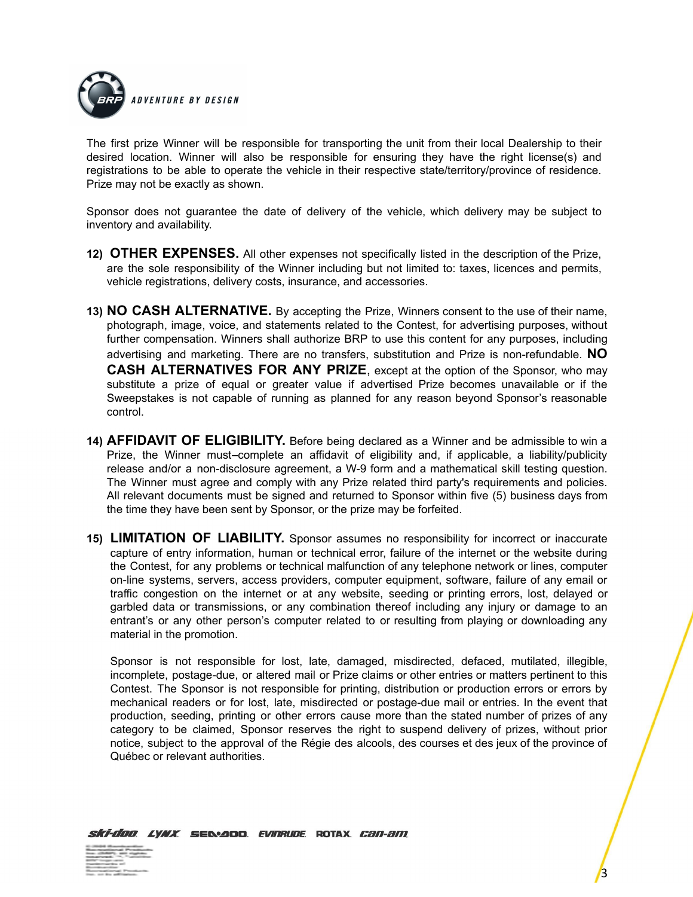

The first prize Winner will be responsible for transporting the unit from their local Dealership to their desired location. Winner will also be responsible for ensuring they have the right license(s) and registrations to be able to operate the vehicle in their respective state/territory/province of residence. Prize may not be exactly as shown.

Sponsor does not guarantee the date of delivery of the vehicle, which delivery may be subject to inventory and availability.

- **12) OTHER EXPENSES.** All other expenses not specifically listed in the description of the Prize, are the sole responsibility of the Winner including but not limited to: taxes, licences and permits, vehicle registrations, delivery costs, insurance, and accessories.
- **13) NO CASH ALTERNATIVE.** By accepting the Prize, Winners consent to the use of their name, photograph, image, voice, and statements related to the Contest, for advertising purposes, without further compensation. Winners shall authorize BRP to use this content for any purposes, including advertising and marketing. There are no transfers, substitution and Prize is non-refundable. **NO CASH ALTERNATIVES FOR ANY PRIZE**, except at the option of the Sponsor, who may substitute a prize of equal or greater value if advertised Prize becomes unavailable or if the Sweepstakes is not capable of running as planned for any reason beyond Sponsor's reasonable control.
- **14) AFFIDAVIT OF ELIGIBILITY.** Before being declared as a Winner and be admissible to win a Prize, the Winner must-complete an affidavit of eligibility and, if applicable, a liability/publicity release and/or a non-disclosure agreement, a W-9 form and a mathematical skill testing question. The Winner must agree and comply with any Prize related third party's requirements and policies. All relevant documents must be signed and returned to Sponsor within five (5) business days from the time they have been sent by Sponsor, or the prize may be forfeited.
- **15) LIMITATION OF LIABILITY.** Sponsor assumes no responsibility for incorrect or inaccurate capture of entry information, human or technical error, failure of the internet or the website during the Contest, for any problems or technical malfunction of any telephone network or lines, computer on-line systems, servers, access providers, computer equipment, software, failure of any email or traffic congestion on the internet or at any website, seeding or printing errors, lost, delayed or garbled data or transmissions, or any combination thereof including any injury or damage to an entrant's or any other person's computer related to or resulting from playing or downloading any material in the promotion.

Sponsor is not responsible for lost, late, damaged, misdirected, defaced, mutilated, illegible, incomplete, postage-due, or altered mail or Prize claims or other entries or matters pertinent to this Contest. The Sponsor is not responsible for printing, distribution or production errors or errors by mechanical readers or for lost, late, misdirected or postage-due mail or entries. In the event that production, seeding, printing or other errors cause more than the stated number of prizes of any category to be claimed, Sponsor reserves the right to suspend delivery of prizes, without prior notice, subject to the approval of the Régie des alcools, des courses et des jeux of the province of Québec or relevant authorities.

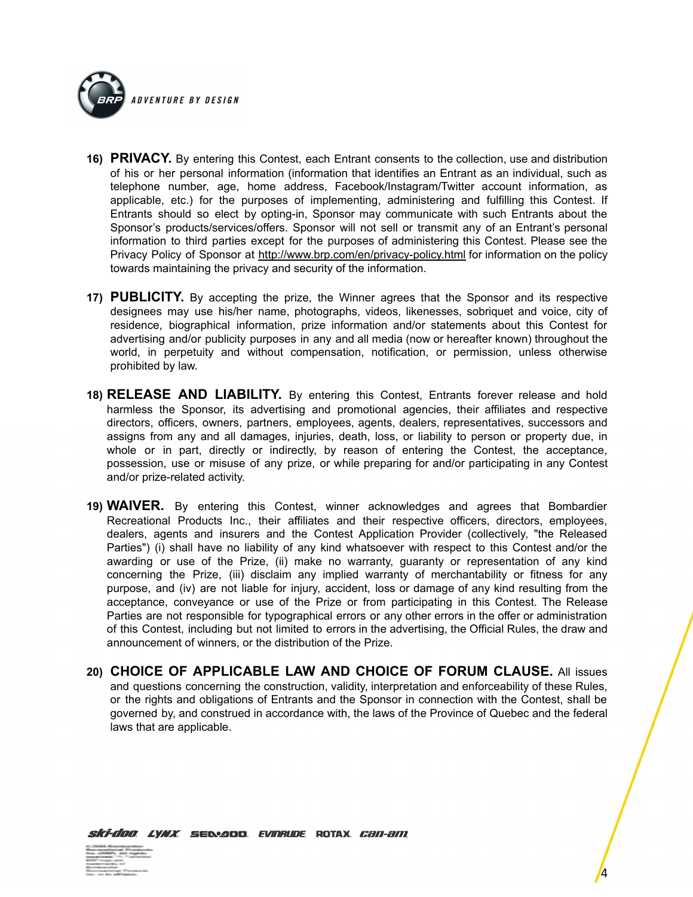

- **16) PRIVACY.** By entering this Contest, each Entrant consents to the collection, use and distribution of his or her personal information (information that identifies an Entrant as an individual, such as telephone number, age, home address, Facebook/Instagram/Twitter account information, as applicable, etc.) for the purposes of implementing, administering and fulfilling this Contest. If Entrants should so elect by opting-in, Sponsor may communicate with such Entrants about the Sponsor's products/services/offers. Sponsor will not sell or transmit any of an Entrant's personal information to third parties except for the purposes of administering this Contest. Please see the Privacy Policy of Sponsor at <http://www.brp.com/en/privacy-policy.html> for information on the policy towards maintaining the privacy and security of the information.
- **17) PUBLICITY.** By accepting the prize, the Winner agrees that the Sponsor and its respective designees may use his/her name, photographs, videos, likenesses, sobriquet and voice, city of residence, biographical information, prize information and/or statements about this Contest for advertising and/or publicity purposes in any and all media (now or hereafter known) throughout the world, in perpetuity and without compensation, notification, or permission, unless otherwise prohibited by law.
- **18) RELEASE AND LIABILITY.** By entering this Contest, Entrants forever release and hold harmless the Sponsor, its advertising and promotional agencies, their affiliates and respective directors, officers, owners, partners, employees, agents, dealers, representatives, successors and assigns from any and all damages, injuries, death, loss, or liability to person or property due, in whole or in part, directly or indirectly, by reason of entering the Contest, the acceptance, possession, use or misuse of any prize, or while preparing for and/or participating in any Contest and/or prize-related activity.
- **19) WAIVER.** By entering this Contest, winner acknowledges and agrees that Bombardier Recreational Products Inc., their affiliates and their respective officers, directors, employees, dealers, agents and insurers and the Contest Application Provider (collectively, "the Released Parties") (i) shall have no liability of any kind whatsoever with respect to this Contest and/or the awarding or use of the Prize, (ii) make no warranty, guaranty or representation of any kind concerning the Prize, (iii) disclaim any implied warranty of merchantability or fitness for any purpose, and (iv) are not liable for injury, accident, loss or damage of any kind resulting from the acceptance, conveyance or use of the Prize or from participating in this Contest. The Release Parties are not responsible for typographical errors or any other errors in the offer or administration of this Contest, including but not limited to errors in the advertising, the Official Rules, the draw and announcement of winners, or the distribution of the Prize.
- **20) CHOICE OF APPLICABLE LAW AND CHOICE OF FORUM CLAUSE.** All issues and questions concerning the construction, validity, interpretation and enforceability of these Rules, or the rights and obligations of Entrants and the Sponsor in connection with the Contest, shall be governed by, and construed in accordance with, the laws of the Province of Quebec and the federal laws that are applicable.

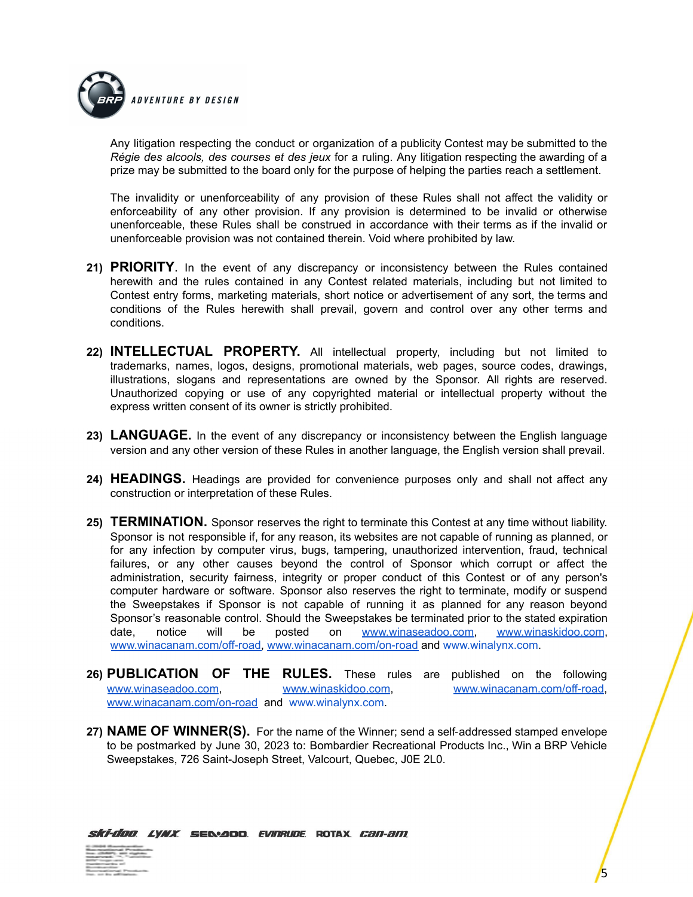

Any litigation respecting the conduct or organization of a publicity Contest may be submitted to the *Régie des alcools, des courses et des jeux* for a ruling. Any litigation respecting the awarding of a prize may be submitted to the board only for the purpose of helping the parties reach a settlement.

The invalidity or unenforceability of any provision of these Rules shall not affect the validity or enforceability of any other provision. If any provision is determined to be invalid or otherwise unenforceable, these Rules shall be construed in accordance with their terms as if the invalid or unenforceable provision was not contained therein. Void where prohibited by law.

- **21) PRIORITY**. In the event of any discrepancy or inconsistency between the Rules contained herewith and the rules contained in any Contest related materials, including but not limited to Contest entry forms, marketing materials, short notice or advertisement of any sort, the terms and conditions of the Rules herewith shall prevail, govern and control over any other terms and conditions.
- **22) INTELLECTUAL PROPERTY.** All intellectual property, including but not limited to trademarks, names, logos, designs, promotional materials, web pages, source codes, drawings, illustrations, slogans and representations are owned by the Sponsor. All rights are reserved. Unauthorized copying or use of any copyrighted material or intellectual property without the express written consent of its owner is strictly prohibited.
- **23) LANGUAGE.** In the event of any discrepancy or inconsistency between the English language version and any other version of these Rules in another language, the English version shall prevail.
- **24) HEADINGS.** Headings are provided for convenience purposes only and shall not affect any construction or interpretation of these Rules.
- **25) TERMINATION.** Sponsor reserves the right to terminate this Contest at any time without liability. Sponsor is not responsible if, for any reason, its websites are not capable of running as planned, or for any infection by computer virus, bugs, tampering, unauthorized intervention, fraud, technical failures, or any other causes beyond the control of Sponsor which corrupt or affect the administration, security fairness, integrity or proper conduct of this Contest or of any person's computer hardware or software. Sponsor also reserves the right to terminate, modify or suspend the Sweepstakes if Sponsor is not capable of running it as planned for any reason beyond Sponsor's reasonable control. Should the Sweepstakes be terminated prior to the stated expiration date, notice will be posted on [www.winaseadoo.com,](http://www.winaseadoo.com) [www.winaskidoo.com](http://www.winaskidoo.com), [www.winacanam.com/off-road,](http://www.winacanam.com/off-road) [www.winacanam.com/on-road](http://www.winacanam.com/on-road) and [www.winalynx.com.](http://www.winalynx.com/)
- **26) PUBLICATION OF THE RULES.** These rules are published on the following [www.winaseadoo.com](http://www.winaseadoo.com), [www.winaskidoo.com,](http://www.winaskidoo.com) [www.winacanam.com/off-road,](http://www.winacanam.com/off-road) [www.winacanam.com/on-road](http://www.winacanam.com/on-road) and [www.winalynx.com.](http://www.winalynx.com/)
- **27) NAME OF WINNER(S).** For the name of the Winner; send a self‐addressed stamped envelope to be postmarked by June 30, 2023 to: Bombardier Recreational Products Inc., Win a BRP Vehicle Sweepstakes, 726 Saint-Joseph Street, Valcourt, Quebec, J0E 2L0.